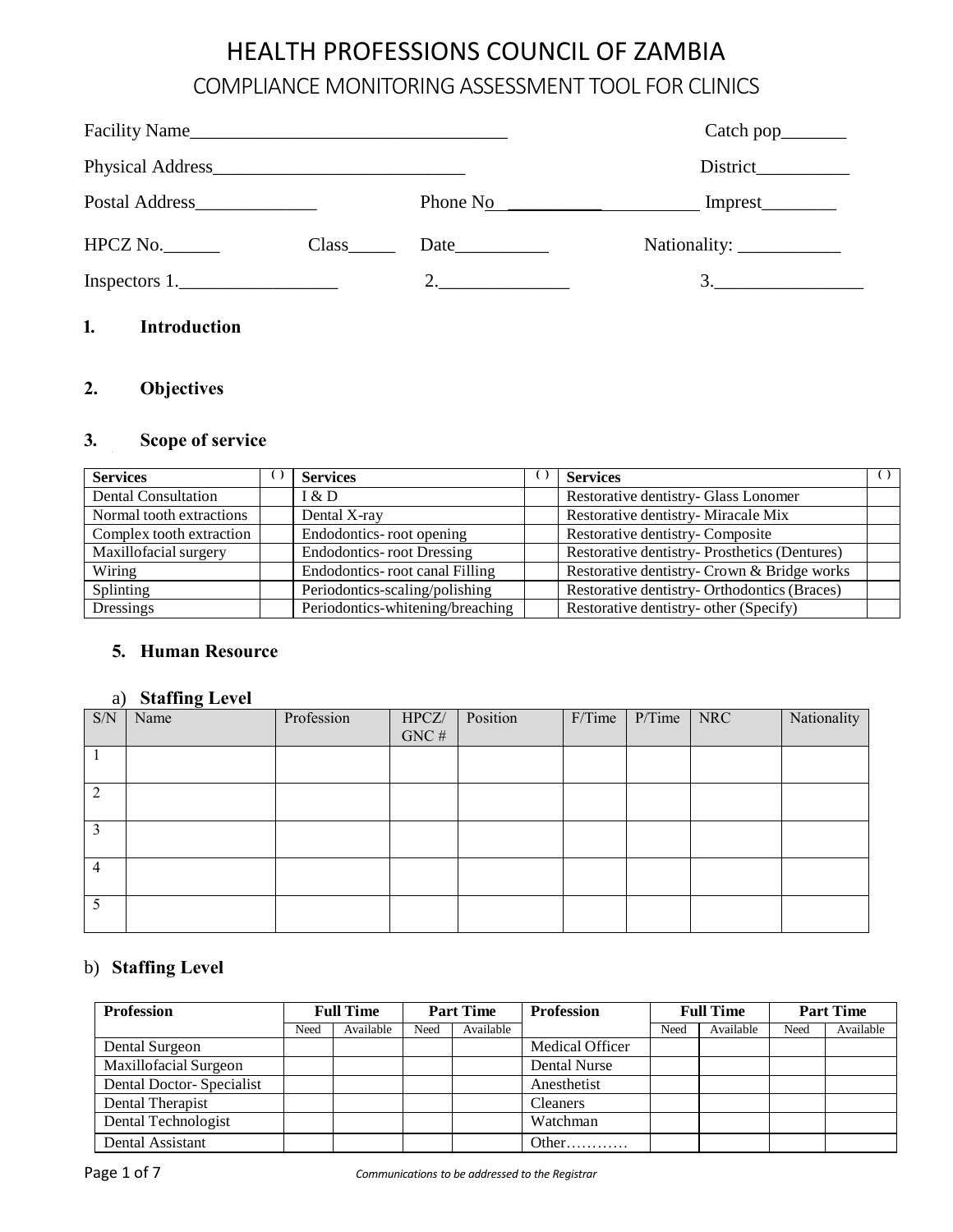# HEALTH PROFESSIONS COUNCIL OF ZAMBIA COMPLIANCE MONITORING ASSESSMENT TOOL FOR CLINICS

| Facility Name                 |                            |    |    |
|-------------------------------|----------------------------|----|----|
|                               |                            |    |    |
| Postal Address_______________ |                            |    |    |
| $HPCZ$ No.                    | $Class$ <sub>_______</sub> |    |    |
| Inspectors $1$ .              |                            | 2. | 3. |
| 1.<br><b>Introduction</b>     |                            |    |    |

## **2. Objectives**

### **3. Scope of service**

| <b>Services</b>            | <b>Services</b>                  | <b>Services</b>                               |  |
|----------------------------|----------------------------------|-----------------------------------------------|--|
| <b>Dental Consultation</b> | I & D                            | Restorative dentistry- Glass Lonomer          |  |
| Normal tooth extractions   | Dental X-ray                     | Restorative dentistry- Miracale Mix           |  |
| Complex tooth extraction   | Endodontics-root opening         | Restorative dentistry- Composite              |  |
| Maxillofacial surgery      | <b>Endodontics-root Dressing</b> | Restorative dentistry- Prosthetics (Dentures) |  |
| Wiring                     | Endodontics-root canal Filling   | Restorative dentistry- Crown & Bridge works   |  |
| Splinting                  | Periodontics-scaling/polishing   | Restorative dentistry- Orthodontics (Braces)  |  |
| Dressings                  | Periodontics-whitening/breaching | Restorative dentistry- other (Specify)        |  |

#### **5. Human Resource**

#### a) **Staffing Level**

| $\ensuremath{\mathrm{S/N}}$ | <u>.</u><br>Name | Profession | HPCZ/    | Position | F/Time | $P/T$ ime | NRC | Nationality |
|-----------------------------|------------------|------------|----------|----------|--------|-----------|-----|-------------|
|                             |                  |            | GNC $\#$ |          |        |           |     |             |
|                             |                  |            |          |          |        |           |     |             |
|                             |                  |            |          |          |        |           |     |             |
| ာ                           |                  |            |          |          |        |           |     |             |
|                             |                  |            |          |          |        |           |     |             |
| 3                           |                  |            |          |          |        |           |     |             |
|                             |                  |            |          |          |        |           |     |             |
| $\overline{4}$              |                  |            |          |          |        |           |     |             |
|                             |                  |            |          |          |        |           |     |             |
|                             |                  |            |          |          |        |           |     |             |
|                             |                  |            |          |          |        |           |     |             |

### b) **Staffing Level**

| <b>Profession</b>        |      | <b>Full Time</b> |      | <b>Part Time</b> | <b>Profession</b>      |      | <b>Full Time</b> | <b>Part Time</b> |           |  |
|--------------------------|------|------------------|------|------------------|------------------------|------|------------------|------------------|-----------|--|
|                          | Need | Available        | Need | Available        |                        | Need | Available        | Need             | Available |  |
| Dental Surgeon           |      |                  |      |                  | <b>Medical Officer</b> |      |                  |                  |           |  |
| Maxillofacial Surgeon    |      |                  |      |                  | Dental Nurse           |      |                  |                  |           |  |
| Dental Doctor-Specialist |      |                  |      |                  | Anesthetist            |      |                  |                  |           |  |
| Dental Therapist         |      |                  |      |                  | <b>Cleaners</b>        |      |                  |                  |           |  |
| Dental Technologist      |      |                  |      |                  | Watchman               |      |                  |                  |           |  |
| Dental Assistant         |      |                  |      |                  | Other                  |      |                  |                  |           |  |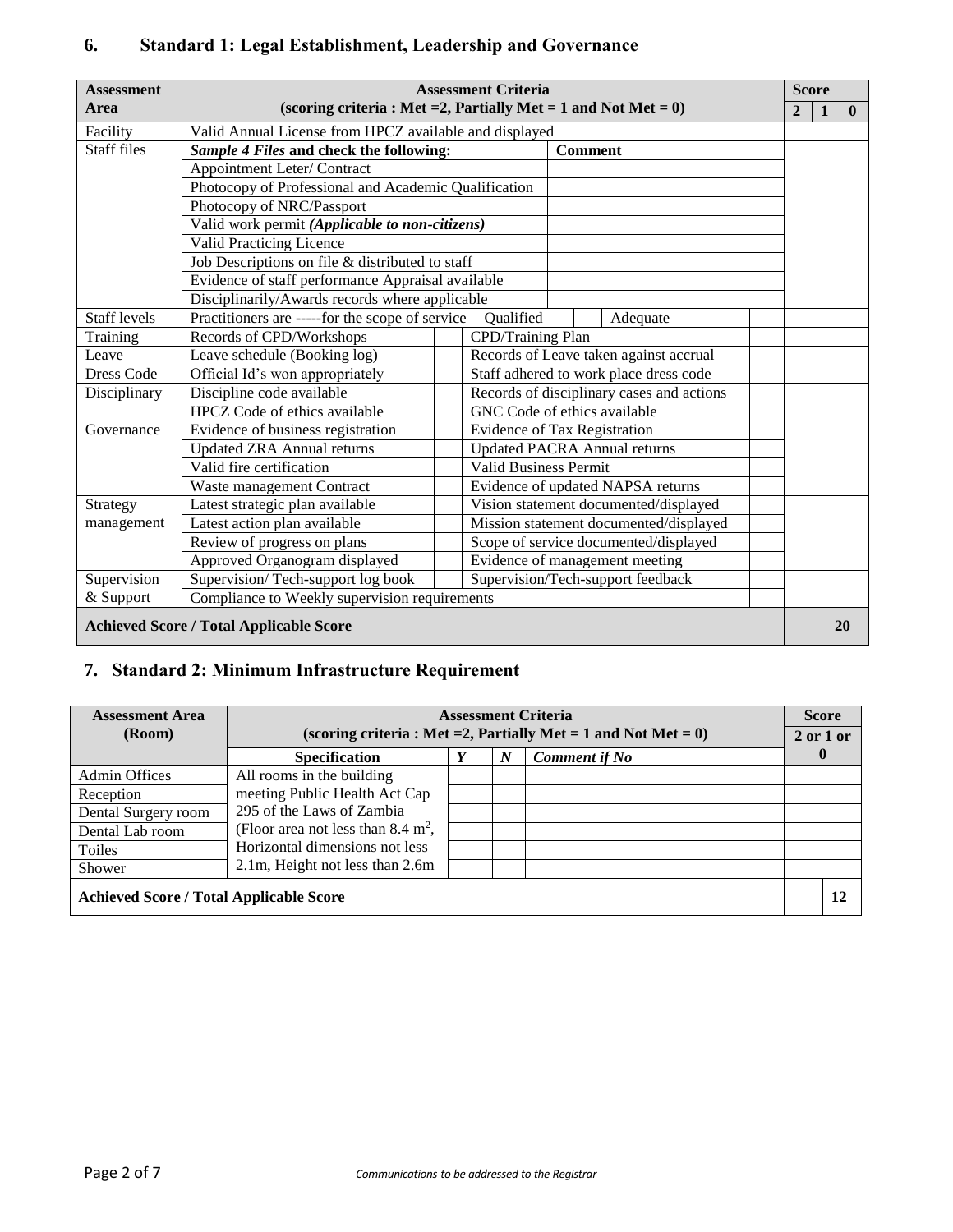| <b>Assessment</b>                              |                                                        | <b>Assessment Criteria</b><br>(scoring criteria : Met = 2, Partially Met = 1 and Not Met = $0$ ) |                                           |  |                |              |              |  |  |  |  |  |
|------------------------------------------------|--------------------------------------------------------|--------------------------------------------------------------------------------------------------|-------------------------------------------|--|----------------|--------------|--------------|--|--|--|--|--|
| Area                                           |                                                        |                                                                                                  |                                           |  | $\overline{2}$ | $\mathbf{1}$ | $\mathbf{0}$ |  |  |  |  |  |
| Facility                                       | Valid Annual License from HPCZ available and displayed |                                                                                                  |                                           |  |                |              |              |  |  |  |  |  |
| Staff files                                    | Sample 4 Files and check the following:                |                                                                                                  | <b>Comment</b>                            |  |                |              |              |  |  |  |  |  |
|                                                | Appointment Leter/Contract                             |                                                                                                  |                                           |  |                |              |              |  |  |  |  |  |
|                                                | Photocopy of Professional and Academic Qualification   |                                                                                                  |                                           |  |                |              |              |  |  |  |  |  |
|                                                | Photocopy of NRC/Passport                              |                                                                                                  |                                           |  |                |              |              |  |  |  |  |  |
|                                                | Valid work permit (Applicable to non-citizens)         |                                                                                                  |                                           |  |                |              |              |  |  |  |  |  |
|                                                | <b>Valid Practicing Licence</b>                        |                                                                                                  |                                           |  |                |              |              |  |  |  |  |  |
|                                                |                                                        | Job Descriptions on file & distributed to staff                                                  |                                           |  |                |              |              |  |  |  |  |  |
|                                                | Evidence of staff performance Appraisal available      |                                                                                                  |                                           |  |                |              |              |  |  |  |  |  |
|                                                | Disciplinarily/Awards records where applicable         |                                                                                                  |                                           |  |                |              |              |  |  |  |  |  |
| Staff levels                                   |                                                        | Practitioners are -----for the scope of service<br>Oualified<br>Adequate                         |                                           |  |                |              |              |  |  |  |  |  |
| Training                                       | Records of CPD/Workshops                               | CPD/Training Plan                                                                                |                                           |  |                |              |              |  |  |  |  |  |
| Leave                                          | Leave schedule (Booking log)                           |                                                                                                  | Records of Leave taken against accrual    |  |                |              |              |  |  |  |  |  |
| <b>Dress Code</b>                              | Official Id's won appropriately                        |                                                                                                  | Staff adhered to work place dress code    |  |                |              |              |  |  |  |  |  |
| Disciplinary                                   | Discipline code available                              |                                                                                                  | Records of disciplinary cases and actions |  |                |              |              |  |  |  |  |  |
|                                                | HPCZ Code of ethics available                          |                                                                                                  | GNC Code of ethics available              |  |                |              |              |  |  |  |  |  |
| Governance                                     | Evidence of business registration                      |                                                                                                  | <b>Evidence of Tax Registration</b>       |  |                |              |              |  |  |  |  |  |
|                                                | <b>Updated ZRA Annual returns</b>                      |                                                                                                  | <b>Updated PACRA Annual returns</b>       |  |                |              |              |  |  |  |  |  |
|                                                | Valid fire certification                               | <b>Valid Business Permit</b>                                                                     |                                           |  |                |              |              |  |  |  |  |  |
|                                                | Waste management Contract                              |                                                                                                  | Evidence of updated NAPSA returns         |  |                |              |              |  |  |  |  |  |
| Strategy                                       | Latest strategic plan available                        |                                                                                                  | Vision statement documented/displayed     |  |                |              |              |  |  |  |  |  |
| management                                     | Latest action plan available                           |                                                                                                  | Mission statement documented/displayed    |  |                |              |              |  |  |  |  |  |
|                                                | Review of progress on plans                            |                                                                                                  | Scope of service documented/displayed     |  |                |              |              |  |  |  |  |  |
|                                                | Approved Organogram displayed                          |                                                                                                  | Evidence of management meeting            |  |                |              |              |  |  |  |  |  |
| Supervision                                    | Supervision/Tech-support log book                      |                                                                                                  | Supervision/Tech-support feedback         |  |                |              |              |  |  |  |  |  |
| & Support                                      | Compliance to Weekly supervision requirements          |                                                                                                  |                                           |  |                |              |              |  |  |  |  |  |
| <b>Achieved Score / Total Applicable Score</b> |                                                        |                                                                                                  |                                           |  |                |              |              |  |  |  |  |  |

## **6. Standard 1: Legal Establishment, Leadership and Governance**

# **7. Standard 2: Minimum Infrastructure Requirement**

| <b>Assessment Area</b>                         |                                                |  |   | <b>Assessment Criteria</b>                                         |  | <b>Score</b>  |  |  |
|------------------------------------------------|------------------------------------------------|--|---|--------------------------------------------------------------------|--|---------------|--|--|
| (Room)                                         |                                                |  |   | (scoring criteria : Met = 2, Partially Met = 1 and Not Met = $0$ ) |  | $2$ or $1$ or |  |  |
|                                                | <b>Specification</b>                           |  | N | <b>Comment if No</b>                                               |  |               |  |  |
| Admin Offices                                  | All rooms in the building                      |  |   |                                                                    |  |               |  |  |
| Reception                                      | meeting Public Health Act Cap                  |  |   |                                                                    |  |               |  |  |
| Dental Surgery room                            | 295 of the Laws of Zambia                      |  |   |                                                                    |  |               |  |  |
| Dental Lab room                                | (Floor area not less than 8.4 m <sup>2</sup> , |  |   |                                                                    |  |               |  |  |
| Toiles                                         | Horizontal dimensions not less                 |  |   |                                                                    |  |               |  |  |
| Shower                                         | 2.1m, Height not less than 2.6m                |  |   |                                                                    |  |               |  |  |
| <b>Achieved Score / Total Applicable Score</b> |                                                |  |   |                                                                    |  |               |  |  |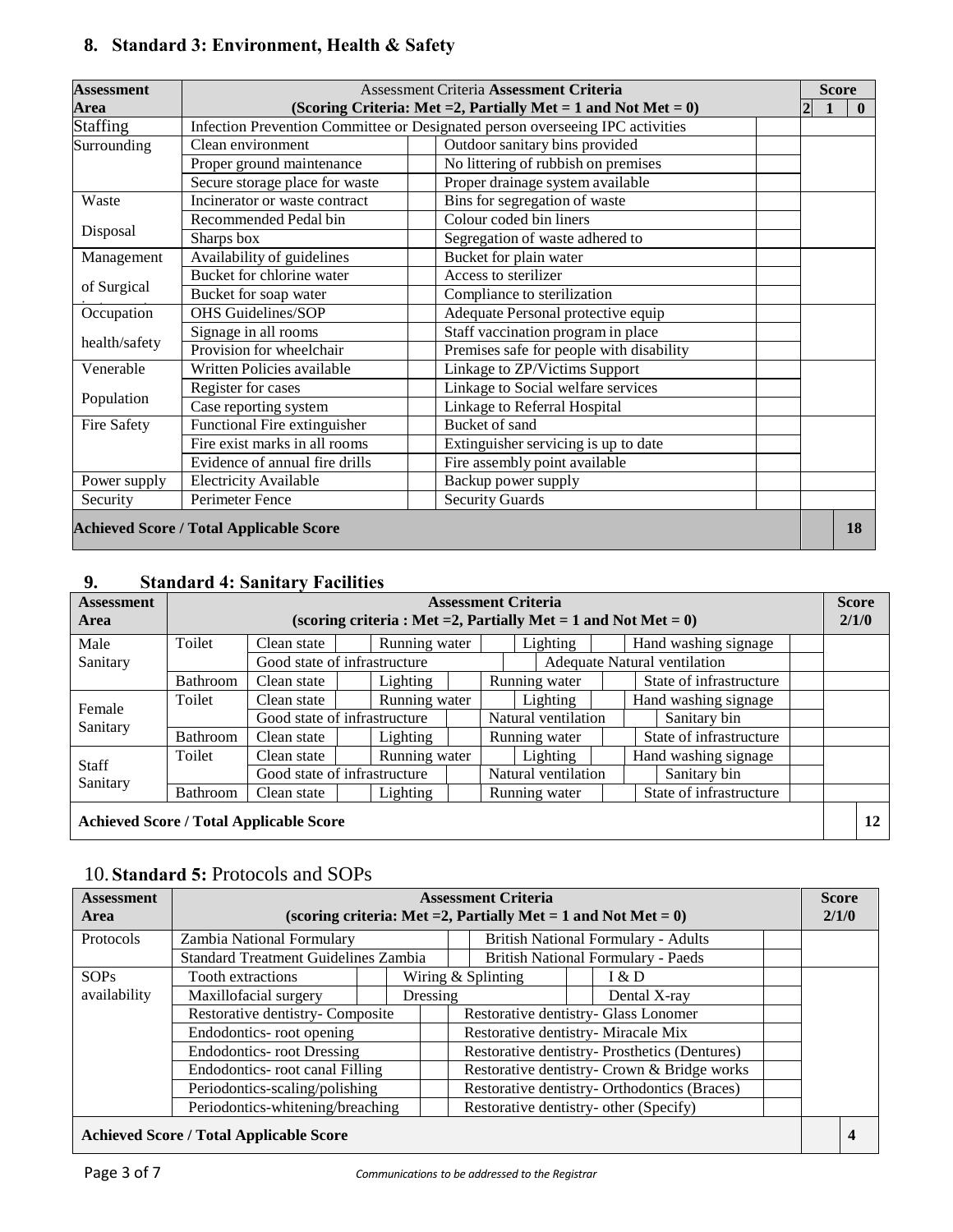## **8. Standard 3: Environment, Health & Safety**

| <b>Assessment</b> | <b>Assessment Criteria Assessment Criteria</b> |                                                                               |                              |  |  |  |  |  |  |  |
|-------------------|------------------------------------------------|-------------------------------------------------------------------------------|------------------------------|--|--|--|--|--|--|--|
| Area              |                                                | (Scoring Criteria: Met = 2, Partially Met = 1 and Not Met = $0$ )             | $\mathbf{2}$<br>$\mathbf{0}$ |  |  |  |  |  |  |  |
| <b>Staffing</b>   |                                                | Infection Prevention Committee or Designated person overseeing IPC activities |                              |  |  |  |  |  |  |  |
| Surrounding       | Clean environment                              | Outdoor sanitary bins provided                                                |                              |  |  |  |  |  |  |  |
|                   | Proper ground maintenance                      | No littering of rubbish on premises                                           |                              |  |  |  |  |  |  |  |
|                   | Secure storage place for waste                 | Proper drainage system available                                              |                              |  |  |  |  |  |  |  |
| Waste             | Incinerator or waste contract                  | Bins for segregation of waste                                                 |                              |  |  |  |  |  |  |  |
|                   | Recommended Pedal bin                          | Colour coded bin liners                                                       |                              |  |  |  |  |  |  |  |
| Disposal          | Sharps box                                     | Segregation of waste adhered to                                               |                              |  |  |  |  |  |  |  |
| Management        | Availability of guidelines                     | Bucket for plain water                                                        |                              |  |  |  |  |  |  |  |
|                   | Bucket for chlorine water                      | Access to sterilizer                                                          |                              |  |  |  |  |  |  |  |
| of Surgical       | Bucket for soap water                          | Compliance to sterilization                                                   |                              |  |  |  |  |  |  |  |
| Occupation        | <b>OHS Guidelines/SOP</b>                      | Adequate Personal protective equip                                            |                              |  |  |  |  |  |  |  |
|                   | Signage in all rooms                           | Staff vaccination program in place                                            |                              |  |  |  |  |  |  |  |
| health/safety     | Provision for wheelchair                       | Premises safe for people with disability                                      |                              |  |  |  |  |  |  |  |
| Venerable         | Written Policies available                     | Linkage to ZP/Victims Support                                                 |                              |  |  |  |  |  |  |  |
|                   | Register for cases                             | Linkage to Social welfare services                                            |                              |  |  |  |  |  |  |  |
| Population        | Case reporting system                          | Linkage to Referral Hospital                                                  |                              |  |  |  |  |  |  |  |
| Fire Safety       | Functional Fire extinguisher                   | Bucket of sand                                                                |                              |  |  |  |  |  |  |  |
|                   | Fire exist marks in all rooms                  | Extinguisher servicing is up to date                                          |                              |  |  |  |  |  |  |  |
|                   | Evidence of annual fire drills                 | Fire assembly point available                                                 |                              |  |  |  |  |  |  |  |
| Power supply      | <b>Electricity Available</b>                   | Backup power supply                                                           |                              |  |  |  |  |  |  |  |
| Security          | Perimeter Fence                                | <b>Security Guards</b>                                                        |                              |  |  |  |  |  |  |  |
|                   | <b>Achieved Score / Total Applicable Score</b> |                                                                               | 18                           |  |  |  |  |  |  |  |

## **9. Standard 4: Sanitary Facilities**

| <b>Assessment</b><br>Area |                 |                                                | (scoring criteria : Met = 2, Partially Met = 1 and Not Met = $0$ ) |               | <b>Assessment Criteria</b> |                              |  |                      |                         |  | <b>Score</b><br>2/1/0 |    |
|---------------------------|-----------------|------------------------------------------------|--------------------------------------------------------------------|---------------|----------------------------|------------------------------|--|----------------------|-------------------------|--|-----------------------|----|
| Male                      | Toilet          | Clean state                                    | Running water                                                      |               | Lighting                   |                              |  |                      | Hand washing signage    |  |                       |    |
| Sanitary                  |                 |                                                | Good state of infrastructure                                       |               |                            | Adequate Natural ventilation |  |                      |                         |  |                       |    |
|                           | <b>Bathroom</b> | Clean state                                    | Lighting                                                           |               |                            | Running water                |  |                      | State of infrastructure |  |                       |    |
|                           | Toilet          | Clean state                                    |                                                                    | Running water |                            | Lighting                     |  | Hand washing signage |                         |  |                       |    |
| Female<br>Sanitary        |                 |                                                | Good state of infrastructure                                       |               |                            | Natural ventilation          |  |                      | Sanitary bin            |  |                       |    |
|                           | Bathroom        | Clean state                                    | Lighting                                                           |               |                            | Running water                |  |                      | State of infrastructure |  |                       |    |
|                           | Toilet          | Clean state                                    | Running water                                                      |               |                            | Lighting                     |  |                      | Hand washing signage    |  |                       |    |
| Staff<br>Sanitary         |                 |                                                | Good state of infrastructure                                       |               |                            | Natural ventilation          |  |                      | Sanitary bin            |  |                       |    |
|                           | <b>Bathroom</b> | Clean state                                    | Lighting                                                           |               |                            | Running water                |  |                      | State of infrastructure |  |                       |    |
|                           |                 | <b>Achieved Score / Total Applicable Score</b> |                                                                    |               |                            |                              |  |                      |                         |  |                       | 12 |

## 10. **Standard 5:** Protocols and SOPs

| <b>Assessment</b><br>Area                      |                                             |  |                             | <b>Assessment Criteria</b><br>(scoring criteria: Met = 2, Partially Met = 1 and Not Met = $0$ ) |  |                                              |  | <b>Score</b><br>2/1/0 |  |
|------------------------------------------------|---------------------------------------------|--|-----------------------------|-------------------------------------------------------------------------------------------------|--|----------------------------------------------|--|-----------------------|--|
| Protocols                                      | Zambia National Formulary                   |  |                             |                                                                                                 |  | <b>British National Formulary - Adults</b>   |  |                       |  |
|                                                | <b>Standard Treatment Guidelines Zambia</b> |  |                             |                                                                                                 |  | <b>British National Formulary - Paeds</b>    |  |                       |  |
| <b>SOPs</b>                                    | <b>Tooth extractions</b>                    |  | Wiring & Splinting<br>I & D |                                                                                                 |  |                                              |  |                       |  |
| availability                                   | Maxillofacial surgery<br>Dressing           |  |                             | Dental X-ray                                                                                    |  |                                              |  |                       |  |
|                                                | Restorative dentistry- Composite            |  |                             | Restorative dentistry- Glass Lonomer                                                            |  |                                              |  |                       |  |
|                                                | Endodontics-root opening                    |  |                             | Restorative dentistry- Miracale Mix                                                             |  |                                              |  |                       |  |
|                                                | <b>Endodontics-root Dressing</b>            |  |                             | Restorative dentistry- Prosthetics (Dentures)                                                   |  |                                              |  |                       |  |
|                                                | <b>Endodontics-</b> root canal Filling      |  |                             |                                                                                                 |  | Restorative dentistry- Crown & Bridge works  |  |                       |  |
|                                                | Periodontics-scaling/polishing              |  |                             |                                                                                                 |  | Restorative dentistry- Orthodontics (Braces) |  |                       |  |
|                                                | Periodontics-whitening/breaching            |  |                             |                                                                                                 |  | Restorative dentistry- other (Specify)       |  |                       |  |
| <b>Achieved Score / Total Applicable Score</b> |                                             |  |                             |                                                                                                 |  |                                              |  |                       |  |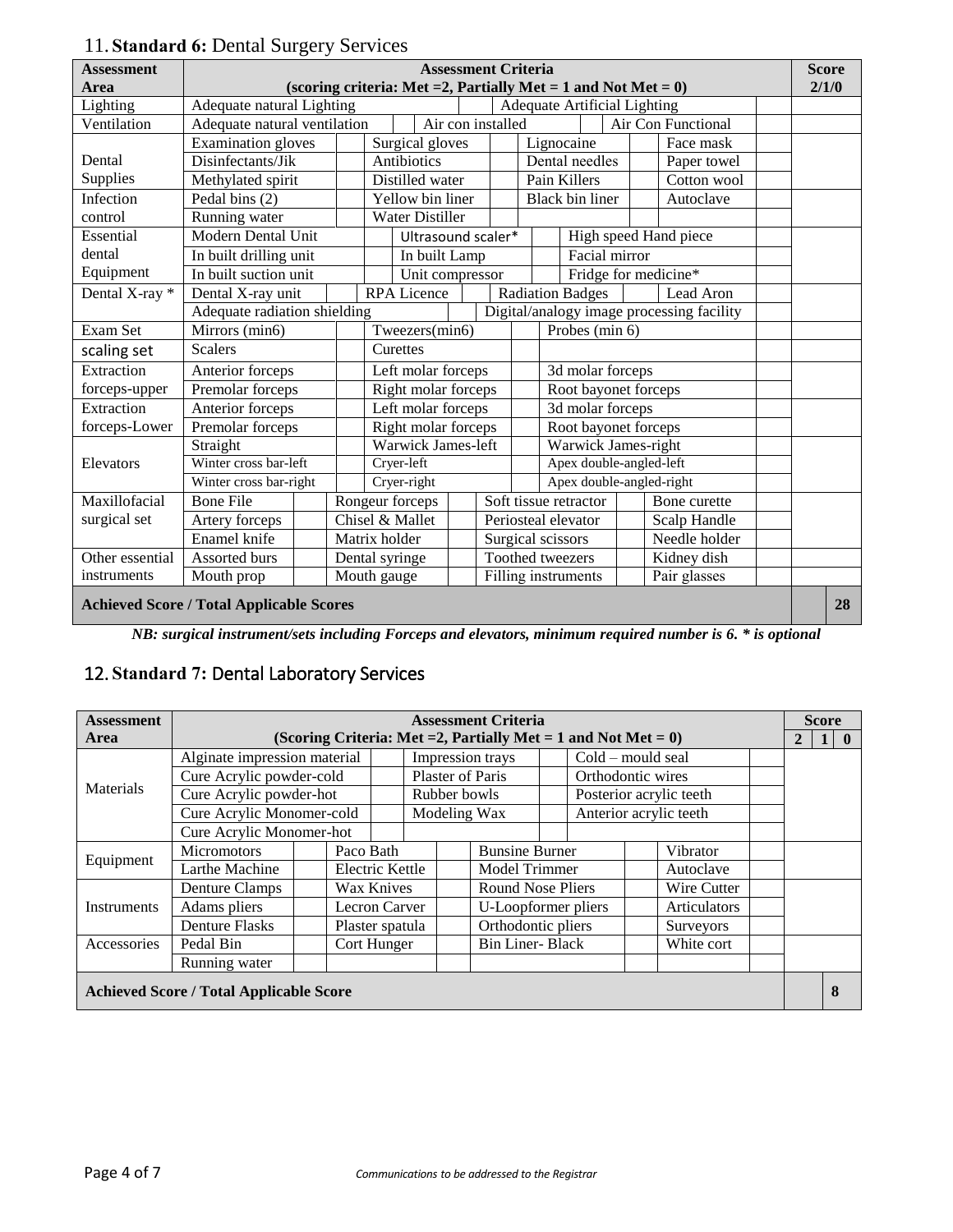| <b>Assessment</b>                               |                              |  |               |                |                                                                   |  | <b>Assessment Criteria</b> |    |                                     |                      |  |                                           | <b>Score</b> |
|-------------------------------------------------|------------------------------|--|---------------|----------------|-------------------------------------------------------------------|--|----------------------------|----|-------------------------------------|----------------------|--|-------------------------------------------|--------------|
| Area                                            |                              |  |               |                | (scoring criteria: Met = 2, Partially Met = 1 and Not Met = $0$ ) |  |                            |    |                                     |                      |  |                                           | 2/1/0        |
| Lighting                                        | Adequate natural Lighting    |  |               |                |                                                                   |  |                            |    | <b>Adequate Artificial Lighting</b> |                      |  |                                           |              |
| Ventilation                                     | Adequate natural ventilation |  |               |                |                                                                   |  | Air con installed          |    |                                     |                      |  | Air Con Functional                        |              |
|                                                 | <b>Examination</b> gloves    |  |               |                | Surgical gloves                                                   |  |                            |    | Lignocaine                          |                      |  | Face mask                                 |              |
| Dental                                          | Disinfectants/Jik            |  |               |                | Antibiotics                                                       |  |                            |    | Dental needles                      |                      |  | Paper towel                               |              |
| Supplies                                        | Methylated spirit            |  |               |                | Distilled water                                                   |  |                            |    | Pain Killers                        |                      |  | Cotton wool                               |              |
| Infection                                       | Pedal bins (2)               |  |               |                | Yellow bin liner                                                  |  |                            |    | <b>Black bin liner</b>              |                      |  | Autoclave                                 |              |
| control                                         | Running water                |  |               |                | <b>Water Distiller</b>                                            |  |                            |    |                                     |                      |  |                                           |              |
| Essential                                       | <b>Modern Dental Unit</b>    |  |               |                | Ultrasound scaler*                                                |  |                            |    |                                     |                      |  | High speed Hand piece                     |              |
| dental                                          | In built drilling unit       |  |               |                | In built Lamp                                                     |  |                            |    |                                     | Facial mirror        |  |                                           |              |
| Equipment                                       | In built suction unit        |  |               |                | Unit compressor                                                   |  |                            |    |                                     |                      |  | Fridge for medicine*                      |              |
| Dental X-ray *                                  | Dental X-ray unit            |  |               |                | <b>RPA</b> Licence                                                |  |                            |    | <b>Radiation Badges</b>             |                      |  | Lead Aron                                 |              |
|                                                 | Adequate radiation shielding |  |               |                |                                                                   |  |                            |    |                                     |                      |  | Digital/analogy image processing facility |              |
| Exam Set                                        | Mirrors (min6)               |  |               | Tweezers(min6) |                                                                   |  |                            |    |                                     | Probes (min 6)       |  |                                           |              |
| scaling set                                     | <b>Scalers</b>               |  |               |                | Curettes                                                          |  |                            |    |                                     |                      |  |                                           |              |
| Extraction                                      | Anterior forceps             |  |               |                | Left molar forceps                                                |  |                            |    |                                     | 3d molar forceps     |  |                                           |              |
| forceps-upper                                   | Premolar forceps             |  |               |                | Right molar forceps                                               |  |                            |    | Root bayonet forceps                |                      |  |                                           |              |
| Extraction                                      | Anterior forceps             |  |               |                | Left molar forceps                                                |  |                            |    |                                     | 3d molar forceps     |  |                                           |              |
| forceps-Lower                                   | Premolar forceps             |  |               |                | Right molar forceps                                               |  |                            |    |                                     | Root bayonet forceps |  |                                           |              |
|                                                 | Straight                     |  |               |                | Warwick James-left                                                |  |                            |    |                                     | Warwick James-right  |  |                                           |              |
| Elevators                                       | Winter cross bar-left        |  |               |                | Cryer-left                                                        |  |                            |    |                                     |                      |  | Apex double-angled-left                   |              |
|                                                 | Winter cross bar-right       |  |               |                | Cryer-right                                                       |  |                            |    |                                     |                      |  | Apex double-angled-right                  |              |
| Maxillofacial                                   | <b>Bone File</b>             |  |               |                | Rongeur forceps                                                   |  |                            |    | Soft tissue retractor               |                      |  | Bone curette                              |              |
| surgical set                                    | Artery forceps               |  |               |                | Chisel & Mallet                                                   |  |                            |    | Periosteal elevator                 |                      |  | Scalp Handle                              |              |
|                                                 | Enamel knife                 |  | Matrix holder |                |                                                                   |  |                            |    | Surgical scissors                   |                      |  | Needle holder                             |              |
| Other essential                                 | Assorted burs                |  |               |                | Dental syringe                                                    |  |                            |    | Toothed tweezers                    |                      |  | Kidney dish                               |              |
| instruments                                     | Mouth prop                   |  | Mouth gauge   |                |                                                                   |  |                            |    | Filling instruments                 |                      |  | Pair glasses                              |              |
| <b>Achieved Score / Total Applicable Scores</b> |                              |  |               |                |                                                                   |  |                            | 28 |                                     |                      |  |                                           |              |

# 11. **Standard 6:** Dental Surgery Services

*NB: surgical instrument/sets including Forceps and elevators, minimum required number is 6. \* is optional*

# 12. **Standard 7:** Dental Laboratory Services

| <b>Assessment</b>  |                                                |                                                                   |  |                  |  | <b>Assessment Criteria</b> |                     |                   |                     |                         |  |              | <b>Score</b> |              |
|--------------------|------------------------------------------------|-------------------------------------------------------------------|--|------------------|--|----------------------------|---------------------|-------------------|---------------------|-------------------------|--|--------------|--------------|--------------|
| Area               |                                                | (Scoring Criteria: Met = 2, Partially Met = 1 and Not Met = $0$ ) |  |                  |  |                            |                     |                   |                     |                         |  | $\mathbf{2}$ | 1            | $\mathbf{0}$ |
|                    | Alginate impression material                   |                                                                   |  |                  |  | Impression trays           |                     |                   | Cold – mould seal   |                         |  |              |              |              |
|                    | Cure Acrylic powder-cold                       |                                                                   |  | Plaster of Paris |  |                            |                     | Orthodontic wires |                     |                         |  |              |              |              |
| <b>Materials</b>   |                                                | Cure Acrylic powder-hot                                           |  |                  |  | Rubber bowls               |                     |                   |                     | Posterior acrylic teeth |  |              |              |              |
|                    | Cure Acrylic Monomer-cold                      |                                                                   |  |                  |  | Modeling Wax               |                     |                   |                     | Anterior acrylic teeth  |  |              |              |              |
|                    | Cure Acrylic Monomer-hot                       |                                                                   |  |                  |  |                            |                     |                   |                     |                         |  |              |              |              |
| Equipment          | <b>Micromotors</b>                             | Paco Bath                                                         |  |                  |  | <b>Bunsine Burner</b>      |                     |                   | Vibrator            |                         |  |              |              |              |
|                    | Larthe Machine                                 | <b>Electric Kettle</b>                                            |  |                  |  | Model Trimmer              |                     |                   | Autoclave           |                         |  |              |              |              |
|                    | <b>Denture Clamps</b>                          | Wax Knives                                                        |  |                  |  |                            | Round Nose Pliers   |                   |                     | Wire Cutter             |  |              |              |              |
| <b>Instruments</b> | Adams pliers                                   | Lecron Carver                                                     |  |                  |  |                            | U-Loopformer pliers |                   | <b>Articulators</b> |                         |  |              |              |              |
|                    | <b>Denture Flasks</b>                          | Plaster spatula                                                   |  |                  |  | Orthodontic pliers         |                     |                   |                     | Surveyors               |  |              |              |              |
| Accessories        | Pedal Bin                                      | Cort Hunger                                                       |  |                  |  | <b>Bin Liner-Black</b>     |                     |                   |                     | White cort              |  |              |              |              |
|                    | Running water                                  |                                                                   |  |                  |  |                            |                     |                   |                     |                         |  |              |              |              |
|                    | <b>Achieved Score / Total Applicable Score</b> |                                                                   |  |                  |  |                            |                     |                   |                     |                         |  |              | 8            |              |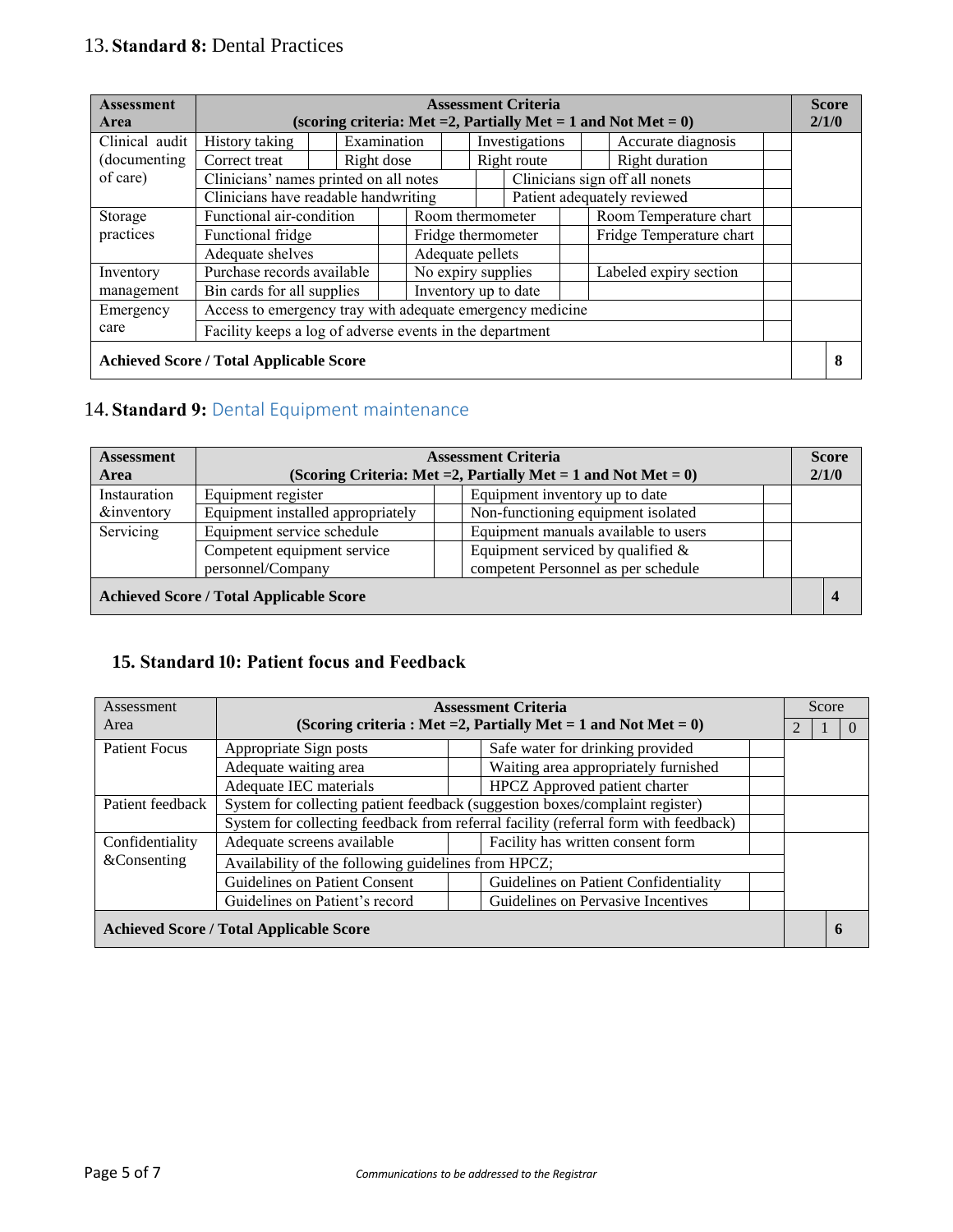# 13. **Standard 8:** Dental Practices

| <b>Assessment</b><br>Area |                                                           |                                      |             |                      |                    | <b>Assessment Criteria</b> |  | (scoring criteria: Met = 2, Partially Met = 1 and Not Met = $0$ ) | <b>Score</b><br>2/1/0 |
|---------------------------|-----------------------------------------------------------|--------------------------------------|-------------|----------------------|--------------------|----------------------------|--|-------------------------------------------------------------------|-----------------------|
| Clinical audit            | History taking                                            |                                      | Examination |                      |                    | Investigations             |  | Accurate diagnosis                                                |                       |
| (documenting)             | Correct treat                                             |                                      | Right dose  |                      |                    | Right route                |  | Right duration                                                    |                       |
| of care)                  | Clinicians' names printed on all notes                    |                                      |             |                      |                    |                            |  | Clinicians sign off all nonets                                    |                       |
|                           |                                                           | Clinicians have readable handwriting |             |                      |                    |                            |  | Patient adequately reviewed                                       |                       |
| Storage                   | Functional air-condition                                  |                                      |             |                      |                    | Room thermometer           |  | Room Temperature chart                                            |                       |
| practices                 | Functional fridge                                         |                                      |             |                      |                    | Fridge thermometer         |  | Fridge Temperature chart                                          |                       |
|                           | Adequate shelves                                          |                                      |             |                      | Adequate pellets   |                            |  |                                                                   |                       |
| Inventory                 | Purchase records available                                |                                      |             |                      | No expiry supplies |                            |  | Labeled expiry section                                            |                       |
| management                | Bin cards for all supplies                                |                                      |             | Inventory up to date |                    |                            |  |                                                                   |                       |
| Emergency                 | Access to emergency tray with adequate emergency medicine |                                      |             |                      |                    |                            |  |                                                                   |                       |
| care                      | Facility keeps a log of adverse events in the department  |                                      |             |                      |                    |                            |  |                                                                   |                       |
|                           | <b>Achieved Score / Total Applicable Score</b>            |                                      |             |                      |                    |                            |  |                                                                   | 8                     |

## 14. **Standard 9:** Dental Equipment maintenance

| <b>Assessment</b>     | <b>Assessment Criteria</b>                     |  |                                                                   |  |  | <b>Score</b>     |
|-----------------------|------------------------------------------------|--|-------------------------------------------------------------------|--|--|------------------|
| Area                  |                                                |  | (Scoring Criteria: Met = 2, Partially Met = 1 and Not Met = $0$ ) |  |  | 2/1/0            |
| Instauration          | Equipment register                             |  | Equipment inventory up to date                                    |  |  |                  |
| <i>&amp;inventory</i> | Equipment installed appropriately              |  | Non-functioning equipment isolated                                |  |  |                  |
| Servicing             | Equipment service schedule                     |  | Equipment manuals available to users                              |  |  |                  |
|                       | Competent equipment service                    |  | Equipment serviced by qualified $\&$                              |  |  |                  |
|                       | personnel/Company                              |  | competent Personnel as per schedule                               |  |  |                  |
|                       | <b>Achieved Score / Total Applicable Score</b> |  |                                                                   |  |  | $\boldsymbol{4}$ |

### **15. Standard 10: Patient focus and Feedback**

| Assessment           |                                                                              |                                                                   | <b>Assessment Criteria</b>                                                          |  |  | Score |  |
|----------------------|------------------------------------------------------------------------------|-------------------------------------------------------------------|-------------------------------------------------------------------------------------|--|--|-------|--|
| Area                 |                                                                              | (Scoring criteria: Met = 2, Partially Met = 1 and Not Met = $0$ ) |                                                                                     |  |  |       |  |
| <b>Patient Focus</b> | Safe water for drinking provided<br>Appropriate Sign posts                   |                                                                   |                                                                                     |  |  |       |  |
|                      | Adequate waiting area                                                        |                                                                   | Waiting area appropriately furnished                                                |  |  |       |  |
|                      | Adequate IEC materials                                                       |                                                                   | HPCZ Approved patient charter                                                       |  |  |       |  |
| Patient feedback     | System for collecting patient feedback (suggestion boxes/complaint register) |                                                                   |                                                                                     |  |  |       |  |
|                      |                                                                              |                                                                   | System for collecting feedback from referral facility (referral form with feedback) |  |  |       |  |
| Confidentiality      | Facility has written consent form<br>Adequate screens available              |                                                                   |                                                                                     |  |  |       |  |
| &Consenting          | Availability of the following guidelines from HPCZ;                          |                                                                   |                                                                                     |  |  |       |  |
|                      | Guidelines on Patient Consent                                                |                                                                   | Guidelines on Patient Confidentiality                                               |  |  |       |  |
|                      | Guidelines on Patient's record                                               |                                                                   | Guidelines on Pervasive Incentives                                                  |  |  |       |  |
|                      | <b>Achieved Score / Total Applicable Score</b>                               |                                                                   |                                                                                     |  |  |       |  |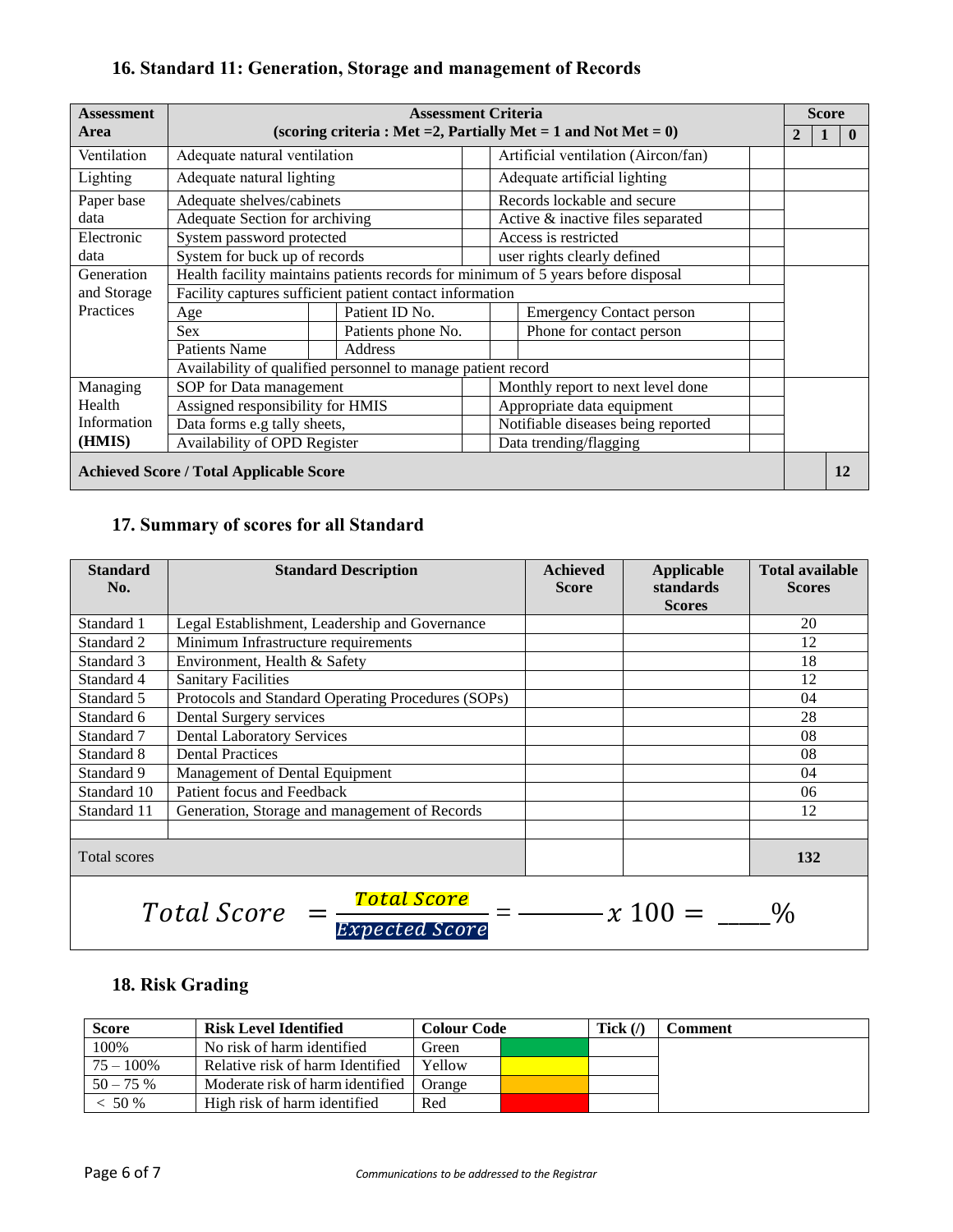## **16. Standard 11: Generation, Storage and management of Records**

| <b>Assessment</b> |                                                                                   | <b>Assessment Criteria</b>                                        |                                 |                                     |  |  | <b>Score</b> |              |
|-------------------|-----------------------------------------------------------------------------------|-------------------------------------------------------------------|---------------------------------|-------------------------------------|--|--|--------------|--------------|
| Area              |                                                                                   | (scoring criteria: Met = 2, Partially Met = 1 and Not Met = $0$ ) |                                 |                                     |  |  | 1            | $\mathbf{0}$ |
| Ventilation       | Adequate natural ventilation                                                      |                                                                   |                                 | Artificial ventilation (Aircon/fan) |  |  |              |              |
| Lighting          | Adequate natural lighting                                                         |                                                                   |                                 | Adequate artificial lighting        |  |  |              |              |
| Paper base        | Adequate shelves/cabinets                                                         |                                                                   |                                 | Records lockable and secure         |  |  |              |              |
| data              | Adequate Section for archiving                                                    |                                                                   |                                 | Active & inactive files separated   |  |  |              |              |
| Electronic        | System password protected                                                         |                                                                   |                                 | Access is restricted                |  |  |              |              |
| data              | System for buck up of records                                                     |                                                                   |                                 | user rights clearly defined         |  |  |              |              |
| Generation        | Health facility maintains patients records for minimum of 5 years before disposal |                                                                   |                                 |                                     |  |  |              |              |
| and Storage       | Facility captures sufficient patient contact information                          |                                                                   |                                 |                                     |  |  |              |              |
| Practices         | Age                                                                               | Patient ID No.                                                    | <b>Emergency Contact person</b> |                                     |  |  |              |              |
|                   | <b>Sex</b>                                                                        | Patients phone No.                                                |                                 | Phone for contact person            |  |  |              |              |
|                   | <b>Patients Name</b>                                                              | Address                                                           |                                 |                                     |  |  |              |              |
|                   | Availability of qualified personnel to manage patient record                      |                                                                   |                                 |                                     |  |  |              |              |
| Managing          | SOP for Data management                                                           |                                                                   |                                 | Monthly report to next level done   |  |  |              |              |
| Health            | Assigned responsibility for HMIS                                                  |                                                                   | Appropriate data equipment      |                                     |  |  |              |              |
| Information       | Data forms e.g tally sheets,                                                      |                                                                   |                                 | Notifiable diseases being reported  |  |  |              |              |
| (HMIS)            | Availability of OPD Register                                                      |                                                                   |                                 | Data trending/flagging              |  |  |              |              |
|                   | <b>Achieved Score / Total Applicable Score</b>                                    |                                                                   |                                 |                                     |  |  |              | 12           |

## **17. Summary of scores for all Standard**

| <b>Standard</b><br>No. | <b>Standard Description</b>                                                    | <b>Achieved</b><br><b>Score</b> | <b>Applicable</b><br>standards<br><b>Scores</b> | <b>Total available</b><br><b>Scores</b> |
|------------------------|--------------------------------------------------------------------------------|---------------------------------|-------------------------------------------------|-----------------------------------------|
| Standard 1             | Legal Establishment, Leadership and Governance                                 |                                 |                                                 | 20                                      |
| Standard 2             | Minimum Infrastructure requirements                                            |                                 |                                                 | 12                                      |
| Standard 3             | Environment, Health & Safety                                                   |                                 |                                                 | 18                                      |
| Standard 4             | <b>Sanitary Facilities</b>                                                     |                                 |                                                 | 12                                      |
| Standard 5             | Protocols and Standard Operating Procedures (SOPs)                             |                                 |                                                 | 04                                      |
| Standard 6             | Dental Surgery services                                                        |                                 |                                                 | 28                                      |
| Standard 7             | <b>Dental Laboratory Services</b>                                              |                                 |                                                 | 08                                      |
| Standard 8             | <b>Dental Practices</b>                                                        |                                 |                                                 | 08                                      |
| Standard 9             | Management of Dental Equipment                                                 |                                 |                                                 | 04                                      |
| Standard 10            | Patient focus and Feedback                                                     |                                 |                                                 | 06                                      |
| Standard 11            | Generation, Storage and management of Records                                  |                                 |                                                 | 12                                      |
| Total scores           |                                                                                |                                 |                                                 | 132                                     |
|                        | Total Score<br><i>Total Score</i><br>$P_{\text{max}}$ ask and $P_{\text{max}}$ |                                 | $x 100 =$                                       |                                         |

# Expected Score

## **18. Risk Grading**

| <b>Score</b> | <b>Risk Level Identified</b>     | <b>Colour Code</b> |  | Tick $(\Lambda)$ | <b>Comment</b> |
|--------------|----------------------------------|--------------------|--|------------------|----------------|
| 100%         | No risk of harm identified       | Green              |  |                  |                |
| $75 - 100\%$ | Relative risk of harm Identified | Yellow             |  |                  |                |
| $50 - 75\%$  | Moderate risk of harm identified | Orange             |  |                  |                |
| < 50 %       | High risk of harm identified     | Red                |  |                  |                |